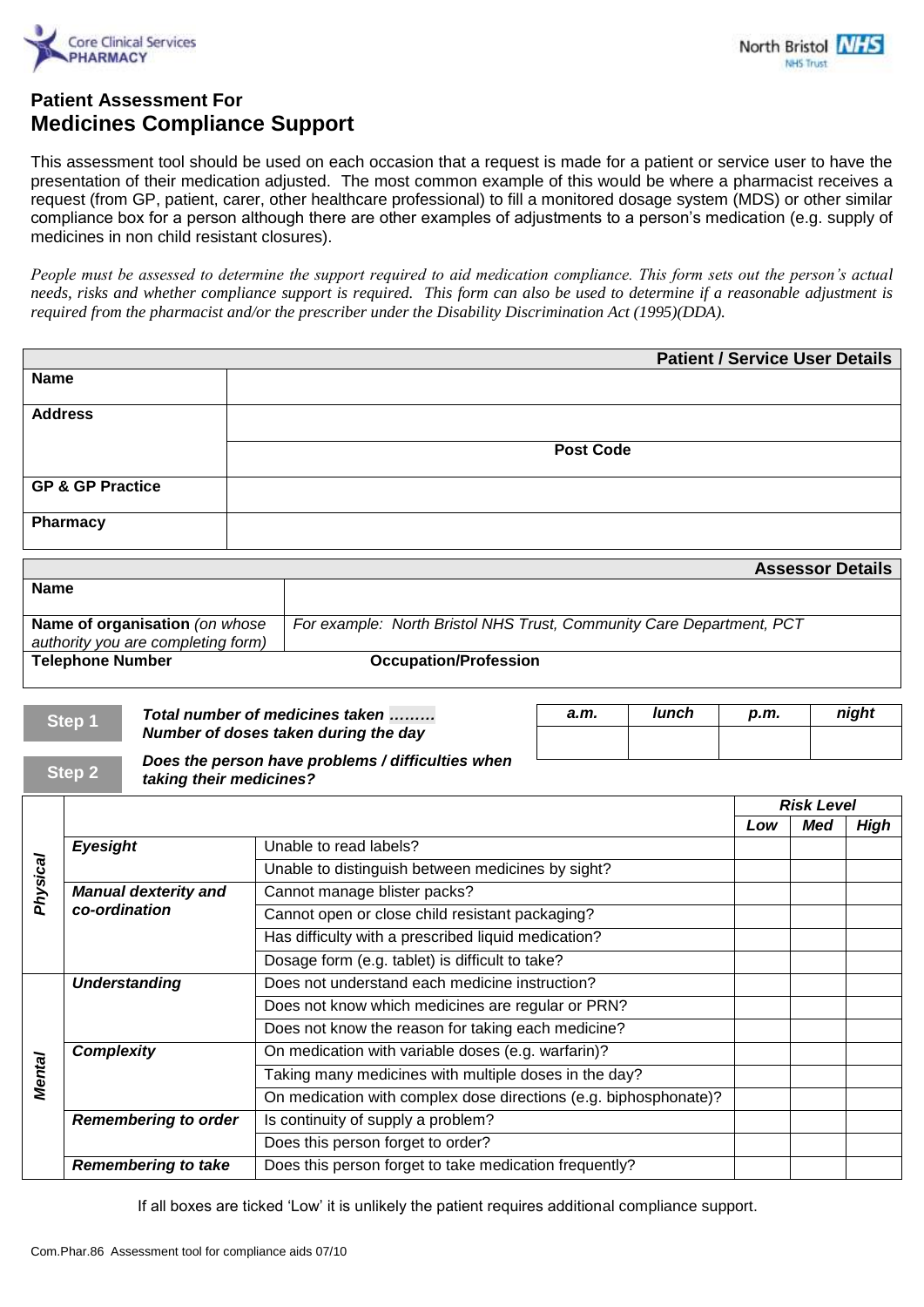



## **Patient Assessment For Medicines Compliance Support**

This assessment tool should be used on each occasion that a request is made for a patient or service user to have the presentation of their medication adjusted. The most common example of this would be where a pharmacist receives a request (from GP, patient, carer, other healthcare professional) to fill a monitored dosage system (MDS) or other similar compliance box for a person although there are other examples of adjustments to a person's medication (e.g. supply of medicines in non child resistant closures).

*People must be assessed to determine the support required to aid medication compliance. This form sets out the person's actual needs, risks and whether compliance support is required. This form can also be used to determine if a reasonable adjustment is required from the pharmacist and/or the prescriber under the Disability Discrimination Act (1995)(DDA).*

|                             | <b>Patient / Service User Details</b> |
|-----------------------------|---------------------------------------|
| <b>Name</b>                 |                                       |
|                             |                                       |
|                             |                                       |
| <b>Address</b>              |                                       |
|                             |                                       |
|                             |                                       |
|                             | <b>Post Code</b>                      |
|                             |                                       |
|                             |                                       |
| <b>GP &amp; GP Practice</b> |                                       |
|                             |                                       |
|                             |                                       |
| <b>Pharmacy</b>             |                                       |
|                             |                                       |
|                             |                                       |

|                                    | <b>Assessor Details</b>                                              |
|------------------------------------|----------------------------------------------------------------------|
| <b>Name</b>                        |                                                                      |
|                                    |                                                                      |
| Name of organisation (on whose     | For example: North Bristol NHS Trust, Community Care Department, PCT |
| authority you are completing form) |                                                                      |
| <b>Telephone Number</b>            | <b>Occupation/Profession</b>                                         |

| Step 1 | Total number of medicines taken                   | а.т. | lunch | p.m. | night |
|--------|---------------------------------------------------|------|-------|------|-------|
|        | Number of doses taken during the day              |      |       |      |       |
|        | Deen the neveau have nyehlama / difficulties when |      |       |      |       |

**Step 2**

 *Does the person have problems / difficulties when taking their medicines?*

|               |                                              |                                                                  | <b>Risk Level</b> |     |             |
|---------------|----------------------------------------------|------------------------------------------------------------------|-------------------|-----|-------------|
|               |                                              |                                                                  | Low               | Med | <b>High</b> |
| Physical      | <b>Eyesight</b>                              | Unable to read labels?                                           |                   |     |             |
|               |                                              | Unable to distinguish between medicines by sight?                |                   |     |             |
|               | <b>Manual dexterity and</b><br>co-ordination | Cannot manage blister packs?                                     |                   |     |             |
|               |                                              | Cannot open or close child resistant packaging?                  |                   |     |             |
|               |                                              | Has difficulty with a prescribed liquid medication?              |                   |     |             |
|               |                                              | Dosage form (e.g. tablet) is difficult to take?                  |                   |     |             |
| <b>Mental</b> | <b>Understanding</b>                         | Does not understand each medicine instruction?                   |                   |     |             |
|               |                                              | Does not know which medicines are regular or PRN?                |                   |     |             |
|               |                                              | Does not know the reason for taking each medicine?               |                   |     |             |
|               | <b>Complexity</b>                            | On medication with variable doses (e.g. warfarin)?               |                   |     |             |
|               |                                              | Taking many medicines with multiple doses in the day?            |                   |     |             |
|               |                                              | On medication with complex dose directions (e.g. biphosphonate)? |                   |     |             |
|               | <b>Remembering to order</b>                  | Is continuity of supply a problem?                               |                   |     |             |
|               |                                              | Does this person forget to order?                                |                   |     |             |
|               | <b>Remembering to take</b>                   | Does this person forget to take medication frequently?           |                   |     |             |

If all boxes are ticked 'Low' it is unlikely the patient requires additional compliance support.